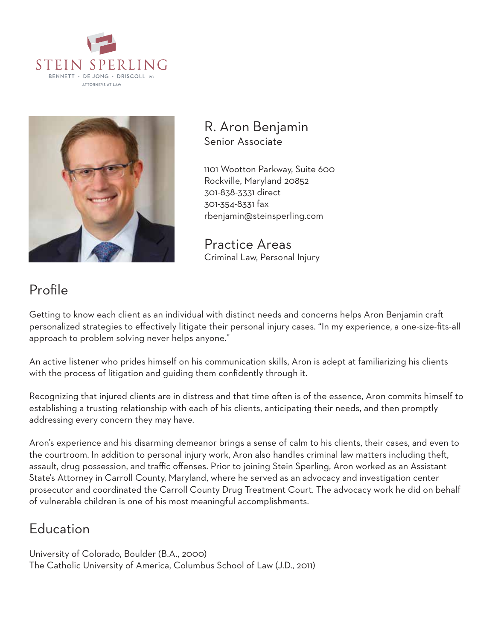



R. Aron Benjamin Senior Associate

1101 Wootton Parkway, Suite 600 Rockville, Maryland 20852 301-838-3331 direct 301-354-8331 fax rbenjamin@steinsperling.com

Practice Areas Criminal Law, Personal Injury

# Profile

Getting to know each client as an individual with distinct needs and concerns helps Aron Benjamin cra personalized strategies to effectively litigate their personal injury cases. "In my experience, a one-size-fits-all approach to problem solving never helps anyone."

An active listener who prides himself on his communication skills, Aron is adept at familiarizing his clients with the process of litigation and guiding them confidently through it.

Recognizing that injured clients are in distress and that time often is of the essence, Aron commits himself to establishing a trusting relationship with each of his clients, anticipating their needs, and then promptly addressing every concern they may have.

Aron's experience and his disarming demeanor brings a sense of calm to his clients, their cases, and even to the courtroom. In addition to personal injury work, Aron also handles criminal law matters including theft, assault, drug possession, and traffic offenses. Prior to joining Stein Sperling, Aron worked as an Assistant State's Attorney in Carroll County, Maryland, where he served as an advocacy and investigation center prosecutor and coordinated the Carroll County Drug Treatment Court. The advocacy work he did on behalf of vulnerable children is one of his most meaningful accomplishments.

# Education

University of Colorado, Boulder (B.A., 2000) The Catholic University of America, Columbus School of Law (J.D., 2011)